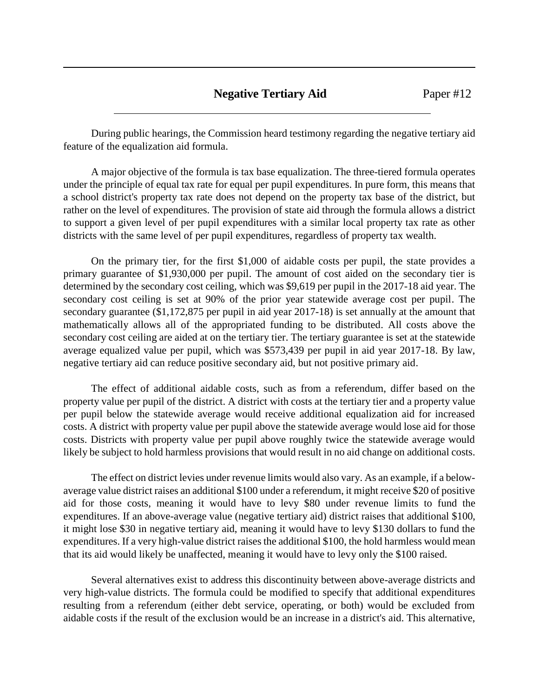## **Negative Tertiary Aid** Paper #12

During public hearings, the Commission heard testimony regarding the negative tertiary aid feature of the equalization aid formula.

A major objective of the formula is tax base equalization. The three-tiered formula operates under the principle of equal tax rate for equal per pupil expenditures. In pure form, this means that a school district's property tax rate does not depend on the property tax base of the district, but rather on the level of expenditures. The provision of state aid through the formula allows a district to support a given level of per pupil expenditures with a similar local property tax rate as other districts with the same level of per pupil expenditures, regardless of property tax wealth.

On the primary tier, for the first \$1,000 of aidable costs per pupil, the state provides a primary guarantee of \$1,930,000 per pupil. The amount of cost aided on the secondary tier is determined by the secondary cost ceiling, which was \$9,619 per pupil in the 2017-18 aid year. The secondary cost ceiling is set at 90% of the prior year statewide average cost per pupil. The secondary guarantee (\$1,172,875 per pupil in aid year 2017-18) is set annually at the amount that mathematically allows all of the appropriated funding to be distributed. All costs above the secondary cost ceiling are aided at on the tertiary tier. The tertiary guarantee is set at the statewide average equalized value per pupil, which was \$573,439 per pupil in aid year 2017-18. By law, negative tertiary aid can reduce positive secondary aid, but not positive primary aid.

The effect of additional aidable costs, such as from a referendum, differ based on the property value per pupil of the district. A district with costs at the tertiary tier and a property value per pupil below the statewide average would receive additional equalization aid for increased costs. A district with property value per pupil above the statewide average would lose aid for those costs. Districts with property value per pupil above roughly twice the statewide average would likely be subject to hold harmless provisions that would result in no aid change on additional costs.

The effect on district levies under revenue limits would also vary. As an example, if a belowaverage value district raises an additional \$100 under a referendum, it might receive \$20 of positive aid for those costs, meaning it would have to levy \$80 under revenue limits to fund the expenditures. If an above-average value (negative tertiary aid) district raises that additional \$100, it might lose \$30 in negative tertiary aid, meaning it would have to levy \$130 dollars to fund the expenditures. If a very high-value district raises the additional \$100, the hold harmless would mean that its aid would likely be unaffected, meaning it would have to levy only the \$100 raised.

Several alternatives exist to address this discontinuity between above-average districts and very high-value districts. The formula could be modified to specify that additional expenditures resulting from a referendum (either debt service, operating, or both) would be excluded from aidable costs if the result of the exclusion would be an increase in a district's aid. This alternative,